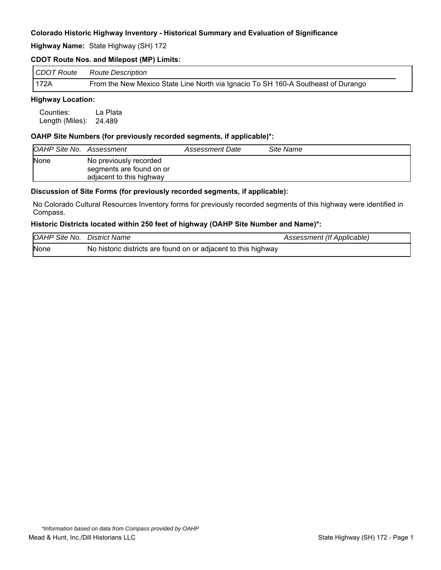**Highway Name:** State Highway (SH) 172

### **CDOT Route Nos. and Milepost (MP) Limits:**

| CDOT Route | <b>Route Description</b>                                                          |
|------------|-----------------------------------------------------------------------------------|
| 172A       | From the New Mexico State Line North via Ignacio To SH 160-A Southeast of Durango |

# **Highway Location:**

Counties: La Plata Length (Miles): 24.489

### **OAHP Site Numbers (for previously recorded segments, if applicable)\*:**

| <b>OAHP Site No. Assessment</b> |                                                                                | Assessment Date | Site Name |
|---------------------------------|--------------------------------------------------------------------------------|-----------------|-----------|
| <b>None</b>                     | No previously recorded<br>segments are found on or<br>adjacent to this highway |                 |           |

#### **Discussion of Site Forms (for previously recorded segments, if applicable):**

No Colorado Cultural Resources Inventory forms for previously recorded segments of this highway were identified in Compass.

#### **Historic Districts located within 250 feet of highway (OAHP Site Number and Name)\*:**

| <b>OAHP Site No. District Name</b> |                                                                | Assessment (If Applicable) |
|------------------------------------|----------------------------------------------------------------|----------------------------|
| None                               | No historic districts are found on or adjacent to this highway |                            |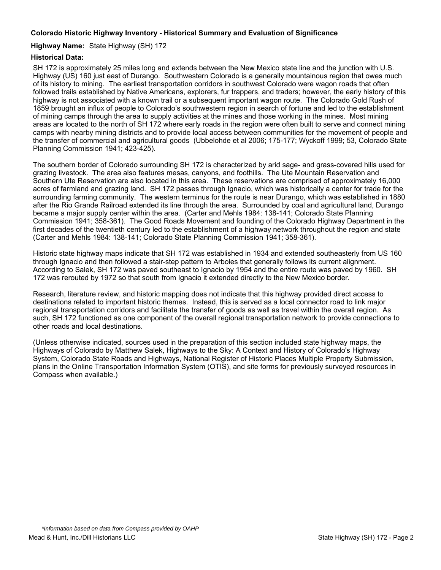### **Highway Name:** State Highway (SH) 172

### **Historical Data:**

SH 172 is approximately 25 miles long and extends between the New Mexico state line and the junction with U.S. Highway (US) 160 just east of Durango. Southwestern Colorado is a generally mountainous region that owes much of its history to mining. The earliest transportation corridors in southwest Colorado were wagon roads that often followed trails established by Native Americans, explorers, fur trappers, and traders; however, the early history of this highway is not associated with a known trail or a subsequent important wagon route. The Colorado Gold Rush of 1859 brought an influx of people to Colorado's southwestern region in search of fortune and led to the establishment of mining camps through the area to supply activities at the mines and those working in the mines. Most mining areas are located to the north of SH 172 where early roads in the region were often built to serve and connect mining camps with nearby mining districts and to provide local access between communities for the movement of people and the transfer of commercial and agricultural goods (Ubbelohde et al 2006; 175-177; Wyckoff 1999; 53, Colorado State Planning Commission 1941; 423-425).

The southern border of Colorado surrounding SH 172 is characterized by arid sage- and grass-covered hills used for grazing livestock. The area also features mesas, canyons, and foothills. The Ute Mountain Reservation and Southern Ute Reservation are also located in this area. These reservations are comprised of approximately 16,000 acres of farmland and grazing land. SH 172 passes through Ignacio, which was historically a center for trade for the surrounding farming community. The western terminus for the route is near Durango, which was established in 1880 after the Rio Grande Railroad extended its line through the area. Surrounded by coal and agricultural land, Durango became a major supply center within the area. (Carter and Mehls 1984: 138-141; Colorado State Planning Commission 1941; 358-361). The Good Roads Movement and founding of the Colorado Highway Department in the first decades of the twentieth century led to the establishment of a highway network throughout the region and state (Carter and Mehls 1984: 138-141; Colorado State Planning Commission 1941; 358-361).

Historic state highway maps indicate that SH 172 was established in 1934 and extended southeasterly from US 160 through Ignacio and then followed a stair-step pattern to Arboles that generally follows its current alignment. According to Salek, SH 172 was paved southeast to Ignacio by 1954 and the entire route was paved by 1960. SH 172 was rerouted by 1972 so that south from Ignacio it extended directly to the New Mexico border.

Research, literature review, and historic mapping does not indicate that this highway provided direct access to destinations related to important historic themes. Instead, this is served as a local connector road to link major regional transportation corridors and facilitate the transfer of goods as well as travel within the overall region. As such, SH 172 functioned as one component of the overall regional transportation network to provide connections to other roads and local destinations.

(Unless otherwise indicated, sources used in the preparation of this section included state highway maps, the Highways of Colorado by Matthew Salek, Highways to the Sky: A Context and History of Colorado's Highway System, Colorado State Roads and Highways, National Register of Historic Places Multiple Property Submission, plans in the Online Transportation Information System (OTIS), and site forms for previously surveyed resources in Compass when available.)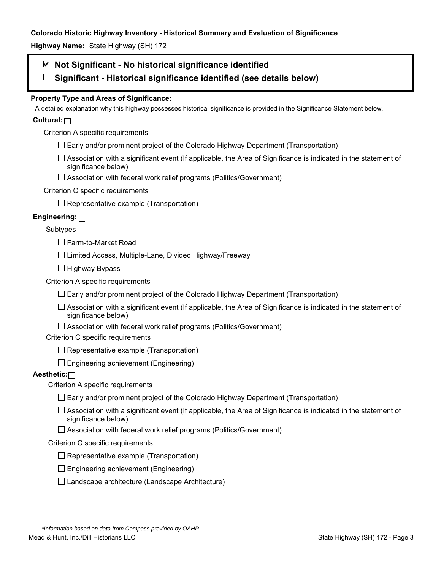**Highway Name:** State Highway (SH) 172

# **Not Significant - No historical significance identified**

**Significant - Historical significance identified (see details below)** 

# **Property Type and Areas of Significance:**

A detailed explanation why this highway possesses historical significance is provided in the Significance Statement below.

# **Cultural:**

Criterion A specific requirements

- $\Box$  Early and/or prominent project of the Colorado Highway Department (Transportation)
- $\Box$  Association with a significant event (If applicable, the Area of Significance is indicated in the statement of significance below)
- □ Association with federal work relief programs (Politics/Government)

# Criterion C specific requirements

 $\Box$  Representative example (Transportation)

# **Engineering:**

### Subtypes

□ Farm-to-Market Road

 $\Box$  Limited Access, Multiple-Lane, Divided Highway/Freeway

 $\Box$  Highway Bypass

Criterion A specific requirements

 $\Box$  Early and/or prominent project of the Colorado Highway Department (Transportation)

 $\Box$  Association with a significant event (If applicable, the Area of Significance is indicated in the statement of significance below)

 $\Box$  Association with federal work relief programs (Politics/Government)

Criterion C specific requirements

 $\Box$  Representative example (Transportation)

 $\Box$  Engineering achievement (Engineering)

# **Aesthetic:**

Criterion A specific requirements

- $\Box$  Early and/or prominent project of the Colorado Highway Department (Transportation)
- $\Box$  Association with a significant event (If applicable, the Area of Significance is indicated in the statement of significance below)
- $\Box$  Association with federal work relief programs (Politics/Government)

#### Criterion C specific requirements

- $\Box$  Representative example (Transportation)
- $\square$  Engineering achievement (Engineering)
- $\square$  Landscape architecture (Landscape Architecture)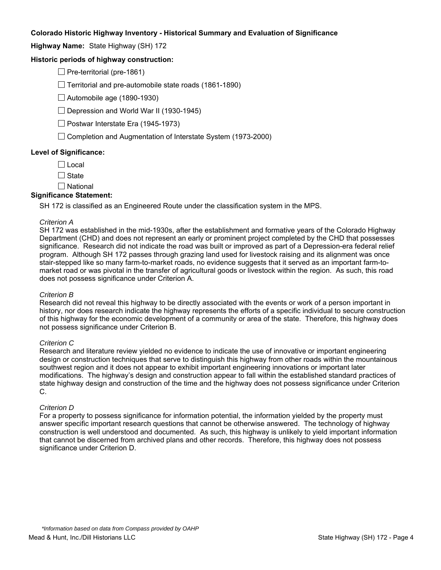**Highway Name:** State Highway (SH) 172

### **Historic periods of highway construction:**

 $\Box$  Pre-territorial (pre-1861)

 $\Box$  Territorial and pre-automobile state roads (1861-1890)

 $\Box$  Automobile age (1890-1930)

 $\Box$  Depression and World War II (1930-1945)

 $\Box$  Postwar Interstate Era (1945-1973)

 $\Box$  Completion and Augmentation of Interstate System (1973-2000)

#### **Level of Significance:**

 $\Box$  Local

 $\Box$  State

 $\square$  National

#### **Significance Statement:**

SH 172 is classified as an Engineered Route under the classification system in the MPS.

#### *Criterion A*

SH 172 was established in the mid-1930s, after the establishment and formative years of the Colorado Highway Department (CHD) and does not represent an early or prominent project completed by the CHD that possesses significance. Research did not indicate the road was built or improved as part of a Depression-era federal relief program. Although SH 172 passes through grazing land used for livestock raising and its alignment was once stair-stepped like so many farm-to-market roads, no evidence suggests that it served as an important farm-tomarket road or was pivotal in the transfer of agricultural goods or livestock within the region. As such, this road does not possess significance under Criterion A.

#### *Criterion B*

Research did not reveal this highway to be directly associated with the events or work of a person important in history, nor does research indicate the highway represents the efforts of a specific individual to secure construction of this highway for the economic development of a community or area of the state. Therefore, this highway does not possess significance under Criterion B.

#### *Criterion C*

Research and literature review yielded no evidence to indicate the use of innovative or important engineering design or construction techniques that serve to distinguish this highway from other roads within the mountainous southwest region and it does not appear to exhibit important engineering innovations or important later modifications. The highway's design and construction appear to fall within the established standard practices of state highway design and construction of the time and the highway does not possess significance under Criterion C.

#### *Criterion D*

For a property to possess significance for information potential, the information yielded by the property must answer specific important research questions that cannot be otherwise answered. The technology of highway construction is well understood and documented. As such, this highway is unlikely to yield important information that cannot be discerned from archived plans and other records. Therefore, this highway does not possess significance under Criterion D.